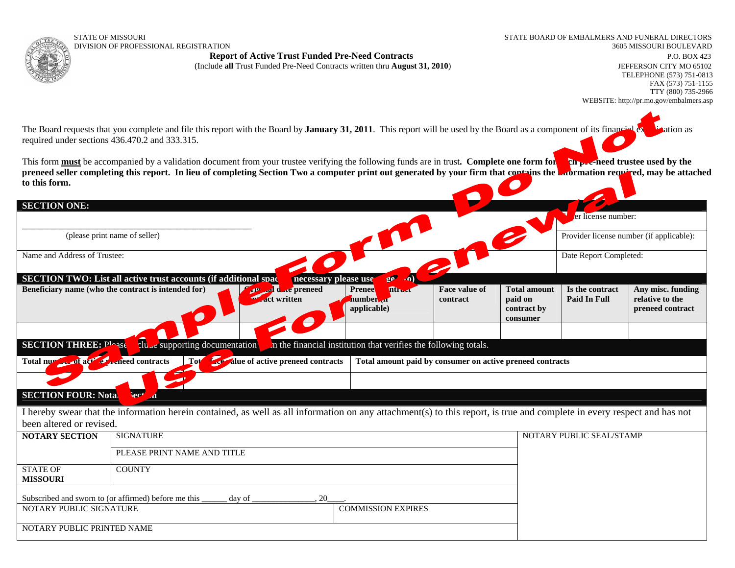STATE OF MISSOURI STATE BOARD OF EMBALMERS AND FUNERAL DIRECTORS DIVISION OF PROFESSIONAL REGISTRATION

**Report of Active Trust Funded Pre-Need Contracts P.O. BOX 423** P.O. BOX 423

(Include **all** Trust Funded Pre-Need Contracts written thru **August 31, 2010**) JEFFERSON CITY MO 65102

The Board requests that you complete and file this report with the Board by **January 31, 2011**. This report will be used by the Board as a component of its financial examination as required under sections 436.470.2 and 333.315.

This form **must** be accompanied by a validation document from your trustee verifying the following funds are in trust. Complete one form for **the pre-need trustee used by the** preneed seller completing this report. In lieu of completing Section Two a computer print out generated by your firm that contains the **information required**, may be attached **to this form.**

| <b>SECTION ONE:</b>                                                                                                                                                                                                                                                                                                                       |                                       |                                                                                                                                                                         |                                                                                                                               |  |                                                           |                                          |                                                          |  |  |
|-------------------------------------------------------------------------------------------------------------------------------------------------------------------------------------------------------------------------------------------------------------------------------------------------------------------------------------------|---------------------------------------|-------------------------------------------------------------------------------------------------------------------------------------------------------------------------|-------------------------------------------------------------------------------------------------------------------------------|--|-----------------------------------------------------------|------------------------------------------|----------------------------------------------------------|--|--|
|                                                                                                                                                                                                                                                                                                                                           |                                       |                                                                                                                                                                         |                                                                                                                               |  |                                                           | er license number:                       |                                                          |  |  |
| (please print name of seller)                                                                                                                                                                                                                                                                                                             |                                       |                                                                                                                                                                         |                                                                                                                               |  |                                                           | Provider license number (if applicable): |                                                          |  |  |
| Name and Address of Trustee:<br>R                                                                                                                                                                                                                                                                                                         |                                       |                                                                                                                                                                         |                                                                                                                               |  |                                                           | Date Report Completed:                   |                                                          |  |  |
| $\mathfrak{g} \mathfrak{g}^{\mathbb{C}}$<br><b>SECTION TWO: List all active trust accounts (if additional space</b><br>necessary please use<br>Beneficiary name (who the contract is intended for)<br>d d de preneed<br><b>Min.d</b><br>Face value of<br><b>Prenee</b><br>F<br><b>Act written</b><br>number 41<br>contract<br>applicable) |                                       |                                                                                                                                                                         |                                                                                                                               |  | <b>Total amount</b><br>paid on<br>contract by<br>consumer | Is the contract<br><b>Paid In Full</b>   | Any misc. funding<br>relative to the<br>preneed contract |  |  |
| <b>SECTION THREE: Plogse</b><br>Total number of act of contracts                                                                                                                                                                                                                                                                          | clu c supporting documentation<br>Tot | <b>Exercíalue of active preneed contracts</b>                                                                                                                           | In the financial institution that verifies the following totals.<br>Total amount paid by consumer on active preneed contracts |  |                                                           |                                          |                                                          |  |  |
| <b>SECTION FOUR: Notal</b>                                                                                                                                                                                                                                                                                                                | ler*<br>$\boldsymbol{A}$              |                                                                                                                                                                         |                                                                                                                               |  |                                                           |                                          |                                                          |  |  |
| been altered or revised.                                                                                                                                                                                                                                                                                                                  |                                       | I hereby swear that the information herein contained, as well as all information on any attachment(s) to this report, is true and complete in every respect and has not |                                                                                                                               |  |                                                           |                                          |                                                          |  |  |
| <b>NOTARY SECTION</b>                                                                                                                                                                                                                                                                                                                     | <b>SIGNATURE</b>                      |                                                                                                                                                                         |                                                                                                                               |  |                                                           | NOTARY PUBLIC SEAL/STAMP                 |                                                          |  |  |
|                                                                                                                                                                                                                                                                                                                                           | PLEASE PRINT NAME AND TITLE           |                                                                                                                                                                         |                                                                                                                               |  |                                                           |                                          |                                                          |  |  |
| <b>STATE OF</b><br><b>MISSOURI</b>                                                                                                                                                                                                                                                                                                        | <b>COUNTY</b>                         |                                                                                                                                                                         |                                                                                                                               |  |                                                           |                                          |                                                          |  |  |
| Subscribed and sworn to (or affirmed) before me this<br>day of<br>20                                                                                                                                                                                                                                                                      |                                       |                                                                                                                                                                         |                                                                                                                               |  |                                                           |                                          |                                                          |  |  |
| NOTARY PUBLIC SIGNATURE                                                                                                                                                                                                                                                                                                                   |                                       |                                                                                                                                                                         | <b>COMMISSION EXPIRES</b>                                                                                                     |  |                                                           |                                          |                                                          |  |  |
| NOTARY PUBLIC PRINTED NAME                                                                                                                                                                                                                                                                                                                |                                       |                                                                                                                                                                         |                                                                                                                               |  |                                                           |                                          |                                                          |  |  |